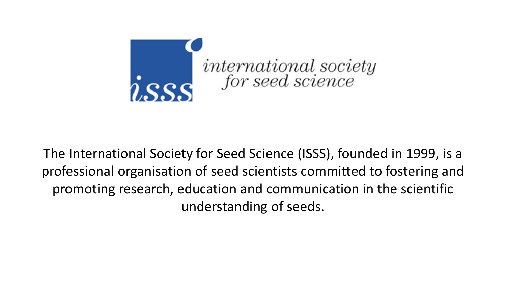

The International Society for Seed Science (ISSS), founded in 1999, is a professional organisation of seed scientists committed to fostering and promoting research, education and communication in the scientific understanding of seeds.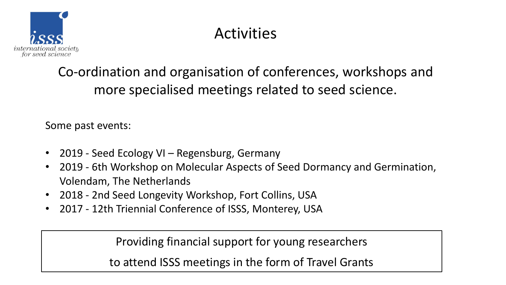

Co-ordination and organisation of conferences, workshops and more specialised meetings related to seed science.

Some past events:

- 2019 Seed Ecology VI Regensburg, Germany
- 2019 6th Workshop on Molecular Aspects of Seed Dormancy and Germination, Volendam, The Netherlands
- 2018 2nd Seed Longevity Workshop, Fort Collins, USA
- 2017 12th Triennial Conference of ISSS, Monterey, USA

Providing financial support for young researchers

to attend ISSS meetings in the form of Travel Grants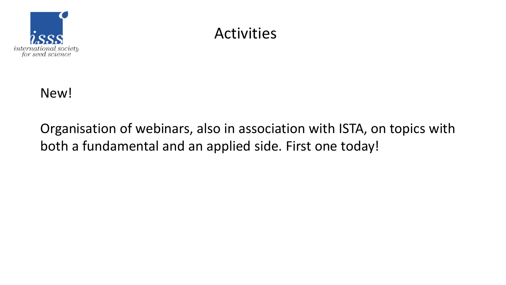



Organisation of webinars, also in association with ISTA, on topics with both a fundamental and an applied side. First one today!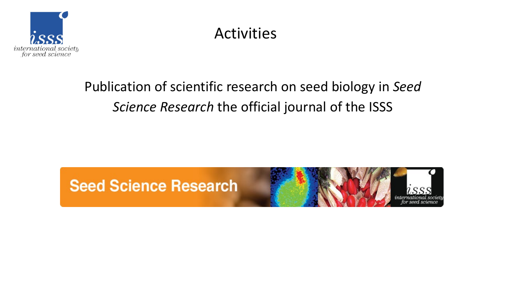

## Publication of scientific research on seed biology in *Seed Science Research* the official journal of the ISSS

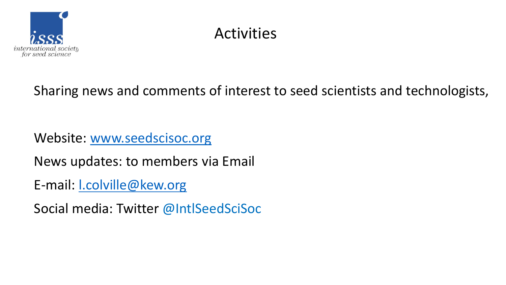

Sharing news and comments of interest to seed scientists and technologists,

Website: [www.seedscisoc.org](http://www.seedscisoc.org/)

News updates: to members via Email

E-mail: [l.colville@kew.org](mailto:l.colville@kew.org)

Social media: Twitter @IntlSeedSciSoc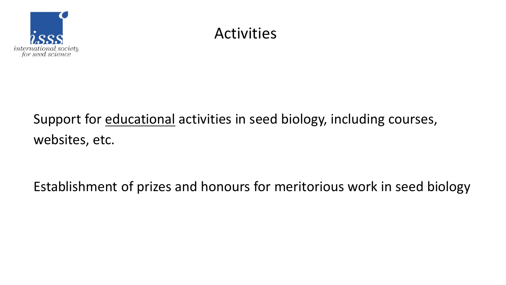

Support for educational activities in seed biology, including courses, websites, etc.

Establishment of prizes and honours for meritorious work in seed biology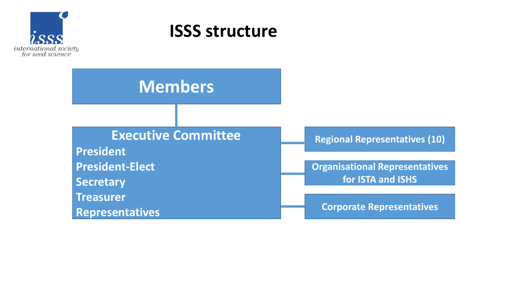

## **ISSS structure**

**Members**

### **Executive Committee**

**President President-Elect Secretary Treasurer**

**Representatives**

**Regional Representatives (10)**

**Organisational Representatives for ISTA and ISHS**

**Corporate Representatives**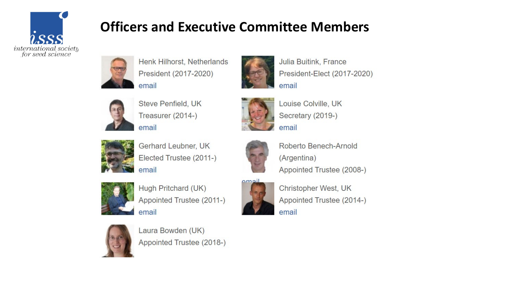

### **Officers and Executive Committee Members**



Henk Hilhorst, Netherlands President (2017-2020) email



Steve Penfield, UK Treasurer (2014-) email



Gerhard Leubner, UK Elected Trustee (2011-) email



Hugh Pritchard (UK) Appointed Trustee (2011-) email



Christopher West, UK Appointed Trustee (2014-) email



Laura Bowden (UK) Appointed Trustee (2018-)



Julia Buitink, France President-Elect (2017-2020) email



Louise Colville, UK Secretary (2019-) email



Roberto Benech-Arnold (Argentina) Appointed Trustee (2008-)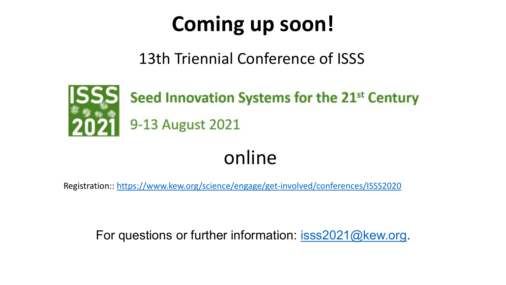## **Coming up soon!**

13th Triennial Conference of ISSS



## online

Registration::<https://www.kew.org/science/engage/get-involved/conferences/ISSS2020>

For questions or further information: [isss2021@kew.org.](mailto:isss2021@kew.org)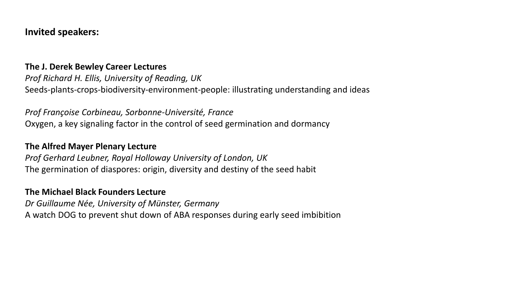#### **Invited speakers:**

#### **The J. Derek Bewley Career Lectures**

*Prof Richard H. Ellis, University of Reading, UK* Seeds-plants-crops-biodiversity-environment-people: illustrating understanding and ideas

*Prof Françoise Corbineau, Sorbonne-Université, France* Oxygen, a key signaling factor in the control of seed germination and dormancy

#### **The Alfred Mayer Plenary Lecture**

*Prof Gerhard Leubner, Royal Holloway University of London, UK* The germination of diaspores: origin, diversity and destiny of the seed habit

#### **The Michael Black Founders Lecture**

*Dr Guillaume Née, University of Münster, Germany* A watch DOG to prevent shut down of ABA responses during early seed imbibition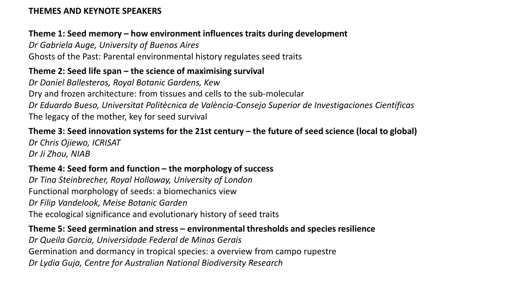#### **THEMES AND KEYNOTE SPEAKERS**

#### **Theme 1: Seed memory – how environment influences traits during development**

*Dr Gabriela Auge, University of Buenos Aires* Ghosts of the Past: Parental environmental history regulates seed traits

#### **Theme 2: Seed life span – the science of maximising survival**

*Dr Daniel Ballesteros, Royal Botanic Gardens, Kew* Dry and frozen architecture: from tissues and cells to the sub-molecular *Dr Eduardo Bueso, Universitat Politècnica de València-Consejo Superior de Investigaciones Científicas* The legacy of the mother, key for seed survival

#### **Theme 3: Seed innovation systems for the 21st century – the future of seed science (local to global)**

*Dr Chris Ojiewo, ICRISAT Dr Ji Zhou, NIAB*

#### **Theme 4: Seed form and function – the morphology of success**

*Dr Tina Steinbrecher, Royal Holloway, University of London* Functional morphology of seeds: a biomechanics view *Dr Filip Vandelook, Meise Botanic Garden* The ecological significance and evolutionary history of seed traits

#### **Theme 5: Seed germination and stress – environmental thresholds and species resilience**

*Dr Queila Garcia, Universidade Federal de Minas Gerais* Germination and dormancy in tropical species: a overview from campo rupestre *Dr Lydia Guja, Centre for Australian National Biodiversity Research*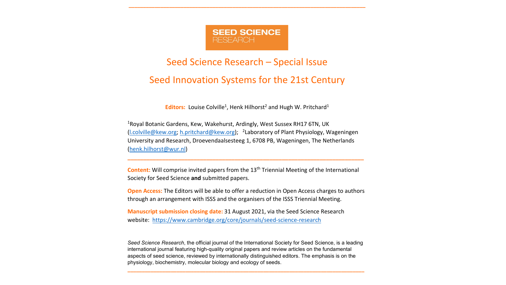

**\_\_\_\_\_\_\_\_\_\_\_\_\_\_\_\_\_\_\_\_\_\_\_\_\_\_\_\_\_\_\_\_\_\_\_\_\_\_\_\_\_\_\_\_\_\_\_\_\_\_\_\_\_\_\_\_\_\_\_\_\_\_\_\_\_\_\_\_\_\_\_\_\_\_\_\_\_\_\_\_\_\_**

#### Seed Science Research – Special Issue

#### Seed Innovation Systems for the 21st Century

**Editors:** Louise Colville<sup>1</sup>, Henk Hilhorst<sup>2</sup> and Hugh W. Pritchard<sup>1</sup>

1Royal Botanic Gardens, Kew, Wakehurst, Ardingly, West Sussex RH17 6TN, UK (l.colville@kew.org; h.pritchard@kew.org); 2Laboratory of Plant Physiology, Wageningen University and Research, Droevendaalsesteeg 1, 6708 PB, Wageningen, The Netherlands (henk.hilhorst@wur.nl)

**Content:** Will comprise invited papers from the 13<sup>th</sup> Triennial Meeting of the International Society for Seed Science **and** submitted papers.

**\_\_\_\_\_\_\_\_\_\_\_\_\_\_\_\_\_\_\_\_\_\_\_\_\_\_\_\_\_\_\_\_\_\_\_\_\_\_\_\_\_\_\_\_\_\_\_\_\_\_\_\_\_\_\_\_\_\_\_\_\_\_\_\_\_\_\_\_\_\_\_\_\_\_\_**

**Open Access:** The Editors will be able to offer a reduction in Open Access charges to authors through an arrangement with ISSS and the organisers of the ISSS Triennial Meeting.

**Manuscript submission closing date:** 31 August 2021, via the Seed Science Research website: https://www.cambridge.org/core/journals/seed-science-research

*Seed Science Research*, the official journal of the International Society for Seed Science, is a leading international journal featuring high-quality original papers and review articles on the fundamental aspects of seed science, reviewed by internationally distinguished editors. The emphasis is on the physiology, biochemistry, molecular biology and ecology of seeds.

**\_\_\_\_\_\_\_\_\_\_\_\_\_\_\_\_\_\_\_\_\_\_\_\_\_\_\_\_\_\_\_\_\_\_\_\_\_\_\_\_\_\_\_\_\_\_\_\_\_\_\_\_\_\_\_\_\_\_\_\_\_\_\_\_\_\_\_\_\_\_\_\_\_\_\_\_\_\_\_\_\_\_**